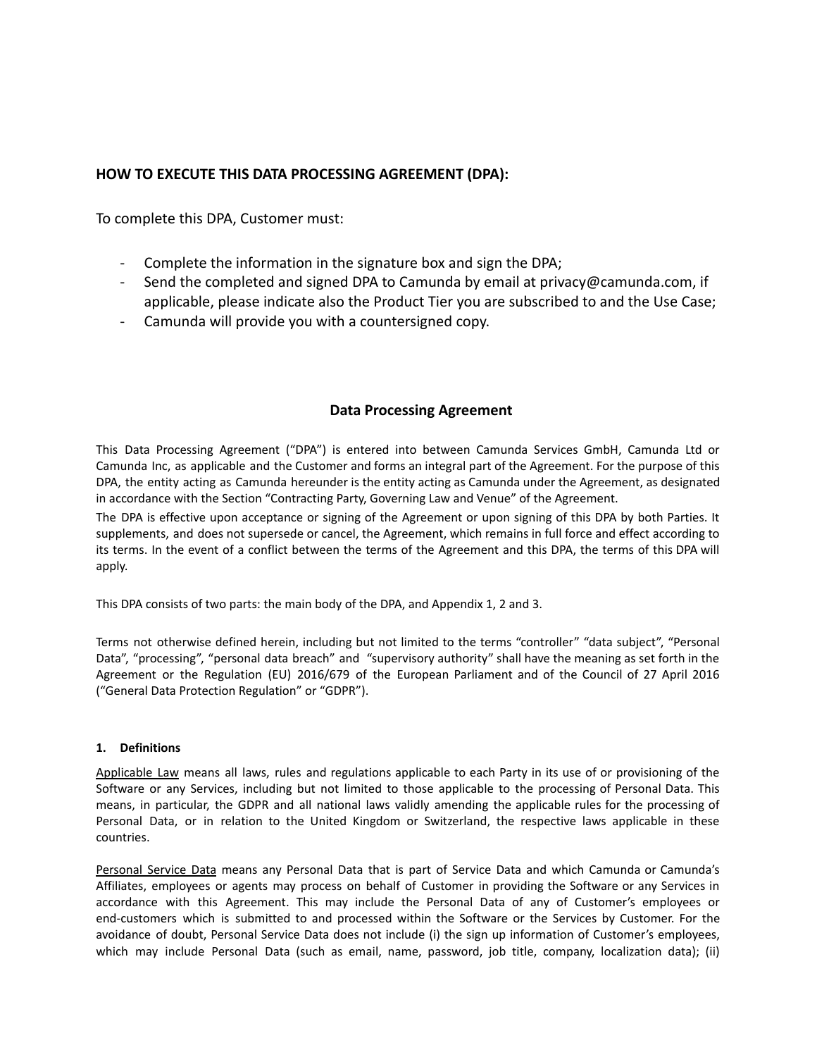## **HOW TO EXECUTE THIS DATA PROCESSING AGREEMENT (DPA):**

To complete this DPA, Customer must:

- Complete the information in the signature box and sign the DPA;
- Send the completed and signed DPA to Camunda by email at privacy@camunda.com, if applicable, please indicate also the Product Tier you are subscribed to and the Use Case;
- Camunda will provide you with a countersigned copy.

## **Data Processing Agreement**

This Data Processing Agreement ("DPA") is entered into between Camunda Services GmbH, Camunda Ltd or Camunda Inc, as applicable and the Customer and forms an integral part of the Agreement. For the purpose of this DPA, the entity acting as Camunda hereunder is the entity acting as Camunda under the Agreement, as designated in accordance with the Section "Contracting Party, Governing Law and Venue" of the Agreement.

The DPA is effective upon acceptance or signing of the Agreement or upon signing of this DPA by both Parties. It supplements, and does not supersede or cancel, the Agreement, which remains in full force and effect according to its terms. In the event of a conflict between the terms of the Agreement and this DPA, the terms of this DPA will apply.

This DPA consists of two parts: the main body of the DPA, and Appendix 1, 2 and 3.

Terms not otherwise defined herein, including but not limited to the terms "controller" "data subject", "Personal Data", "processing", "personal data breach" and "supervisory authority" shall have the meaning as set forth in the Agreement or the Regulation (EU) 2016/679 of the European Parliament and of the Council of 27 April 2016 ("General Data Protection Regulation" or "GDPR").

## **1. Definitions**

Applicable Law means all laws, rules and regulations applicable to each Party in its use of or provisioning of the Software or any Services, including but not limited to those applicable to the processing of Personal Data. This means, in particular, the GDPR and all national laws validly amending the applicable rules for the processing of Personal Data, or in relation to the United Kingdom or Switzerland, the respective laws applicable in these countries.

Personal Service Data means any Personal Data that is part of Service Data and which Camunda or Camunda's Affiliates, employees or agents may process on behalf of Customer in providing the Software or any Services in accordance with this Agreement. This may include the Personal Data of any of Customer's employees or end-customers which is submitted to and processed within the Software or the Services by Customer. For the avoidance of doubt, Personal Service Data does not include (i) the sign up information of Customer's employees, which may include Personal Data (such as email, name, password, job title, company, localization data); (ii)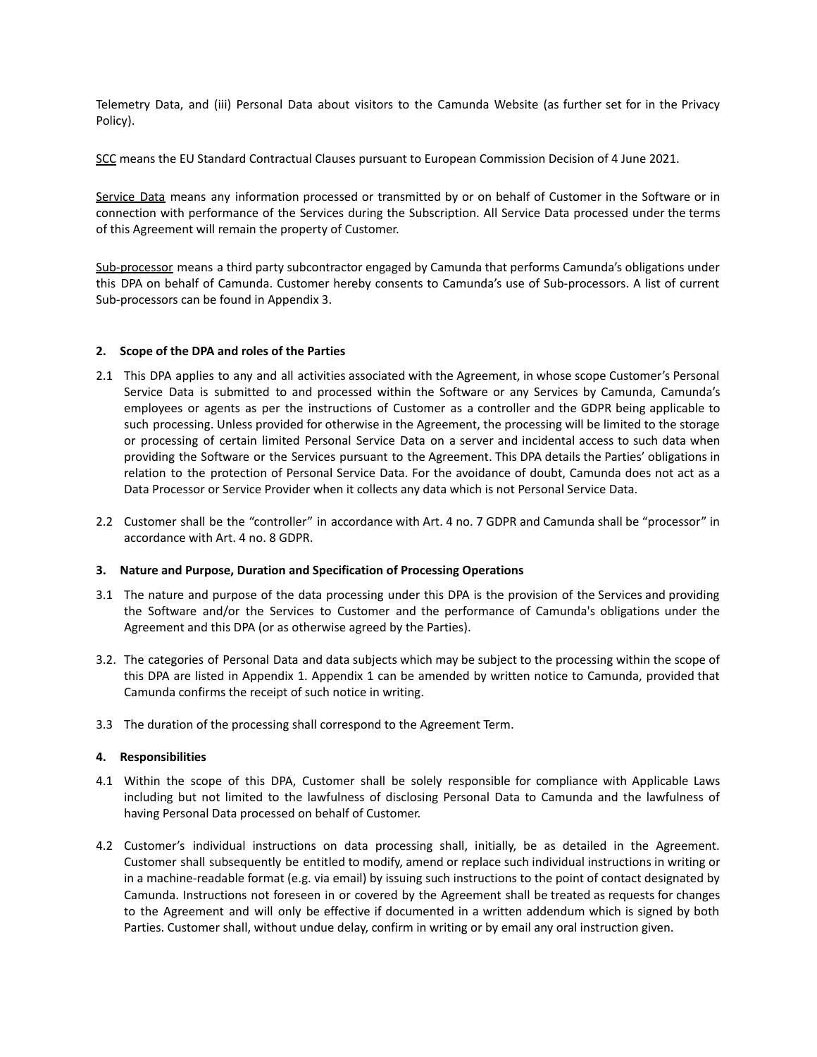Telemetry Data, and (iii) Personal Data about visitors to the Camunda Website (as further set for in the Privacy Policy).

SCC means the EU Standard Contractual Clauses pursuant to European Commission Decision of 4 June 2021.

Service Data means any information processed or transmitted by or on behalf of Customer in the Software or in connection with performance of the Services during the Subscription. All Service Data processed under the terms of this Agreement will remain the property of Customer.

Sub-processor means a third party subcontractor engaged by Camunda that performs Camunda's obligations under this DPA on behalf of Camunda. Customer hereby consents to Camunda's use of Sub-processors. A list of current Sub-processors can be found in Appendix 3.

#### **2. Scope of the DPA and roles of the Parties**

- 2.1 This DPA applies to any and all activities associated with the Agreement, in whose scope Customer's Personal Service Data is submitted to and processed within the Software or any Services by Camunda, Camunda's employees or agents as per the instructions of Customer as a controller and the GDPR being applicable to such processing. Unless provided for otherwise in the Agreement, the processing will be limited to the storage or processing of certain limited Personal Service Data on a server and incidental access to such data when providing the Software or the Services pursuant to the Agreement. This DPA details the Parties' obligations in relation to the protection of Personal Service Data. For the avoidance of doubt, Camunda does not act as a Data Processor or Service Provider when it collects any data which is not Personal Service Data.
- 2.2 Customer shall be the "controller" in accordance with Art. 4 no. 7 GDPR and Camunda shall be "processor" in accordance with Art. 4 no. 8 GDPR.

#### **3. Nature and Purpose, Duration and Specification of Processing Operations**

- 3.1 The nature and purpose of the data processing under this DPA is the provision of the Services and providing the Software and/or the Services to Customer and the performance of Camunda's obligations under the Agreement and this DPA (or as otherwise agreed by the Parties).
- 3.2. The categories of Personal Data and data subjects which may be subject to the processing within the scope of this DPA are listed in Appendix 1. Appendix 1 can be amended by written notice to Camunda, provided that Camunda confirms the receipt of such notice in writing.
- 3.3 The duration of the processing shall correspond to the Agreement Term.

## **4. Responsibilities**

- 4.1 Within the scope of this DPA, Customer shall be solely responsible for compliance with Applicable Laws including but not limited to the lawfulness of disclosing Personal Data to Camunda and the lawfulness of having Personal Data processed on behalf of Customer.
- 4.2 Customer's individual instructions on data processing shall, initially, be as detailed in the Agreement. Customer shall subsequently be entitled to modify, amend or replace such individual instructions in writing or in a machine-readable format (e.g. via email) by issuing such instructions to the point of contact designated by Camunda. Instructions not foreseen in or covered by the Agreement shall be treated as requests for changes to the Agreement and will only be effective if documented in a written addendum which is signed by both Parties. Customer shall, without undue delay, confirm in writing or by email any oral instruction given.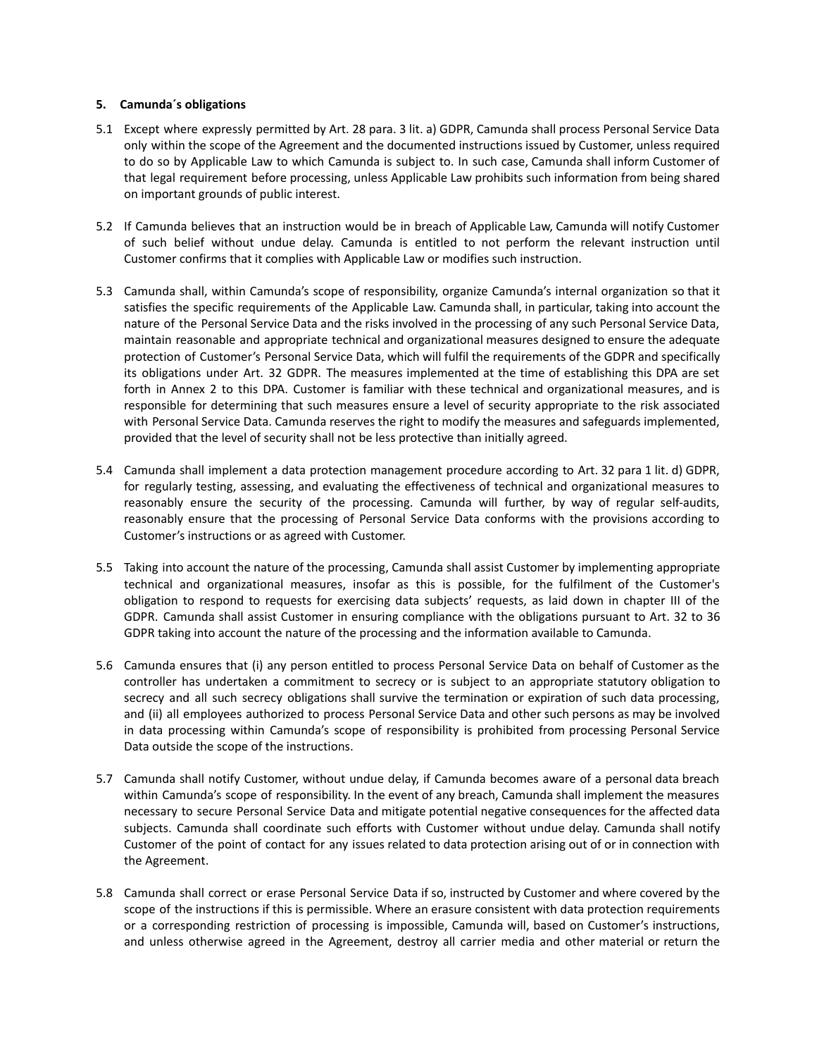#### **5. Camunda´s obligations**

- 5.1 Except where expressly permitted by Art. 28 para. 3 lit. a) GDPR, Camunda shall process Personal Service Data only within the scope of the Agreement and the documented instructions issued by Customer, unless required to do so by Applicable Law to which Camunda is subject to. In such case, Camunda shall inform Customer of that legal requirement before processing, unless Applicable Law prohibits such information from being shared on important grounds of public interest.
- 5.2 If Camunda believes that an instruction would be in breach of Applicable Law, Camunda will notify Customer of such belief without undue delay. Camunda is entitled to not perform the relevant instruction until Customer confirms that it complies with Applicable Law or modifies such instruction.
- 5.3 Camunda shall, within Camunda's scope of responsibility, organize Camunda's internal organization so that it satisfies the specific requirements of the Applicable Law. Camunda shall, in particular, taking into account the nature of the Personal Service Data and the risks involved in the processing of any such Personal Service Data, maintain reasonable and appropriate technical and organizational measures designed to ensure the adequate protection of Customer's Personal Service Data, which will fulfil the requirements of the GDPR and specifically its obligations under Art. 32 GDPR. The measures implemented at the time of establishing this DPA are set forth in Annex 2 to this DPA. Customer is familiar with these technical and organizational measures, and is responsible for determining that such measures ensure a level of security appropriate to the risk associated with Personal Service Data. Camunda reserves the right to modify the measures and safeguards implemented, provided that the level of security shall not be less protective than initially agreed.
- 5.4 Camunda shall implement a data protection management procedure according to Art. 32 para 1 lit. d) GDPR, for regularly testing, assessing, and evaluating the effectiveness of technical and organizational measures to reasonably ensure the security of the processing. Camunda will further, by way of regular self-audits, reasonably ensure that the processing of Personal Service Data conforms with the provisions according to Customer's instructions or as agreed with Customer.
- 5.5 Taking into account the nature of the processing, Camunda shall assist Customer by implementing appropriate technical and organizational measures, insofar as this is possible, for the fulfilment of the Customer's obligation to respond to requests for exercising data subjects' requests, as laid down in chapter III of the GDPR. Camunda shall assist Customer in ensuring compliance with the obligations pursuant to Art. 32 to 36 GDPR taking into account the nature of the processing and the information available to Camunda.
- 5.6 Camunda ensures that (i) any person entitled to process Personal Service Data on behalf of Customer as the controller has undertaken a commitment to secrecy or is subject to an appropriate statutory obligation to secrecy and all such secrecy obligations shall survive the termination or expiration of such data processing, and (ii) all employees authorized to process Personal Service Data and other such persons as may be involved in data processing within Camunda's scope of responsibility is prohibited from processing Personal Service Data outside the scope of the instructions.
- 5.7 Camunda shall notify Customer, without undue delay, if Camunda becomes aware of a personal data breach within Camunda's scope of responsibility. In the event of any breach, Camunda shall implement the measures necessary to secure Personal Service Data and mitigate potential negative consequences for the affected data subjects. Camunda shall coordinate such efforts with Customer without undue delay. Camunda shall notify Customer of the point of contact for any issues related to data protection arising out of or in connection with the Agreement.
- 5.8 Camunda shall correct or erase Personal Service Data if so, instructed by Customer and where covered by the scope of the instructions if this is permissible. Where an erasure consistent with data protection requirements or a corresponding restriction of processing is impossible, Camunda will, based on Customer's instructions, and unless otherwise agreed in the Agreement, destroy all carrier media and other material or return the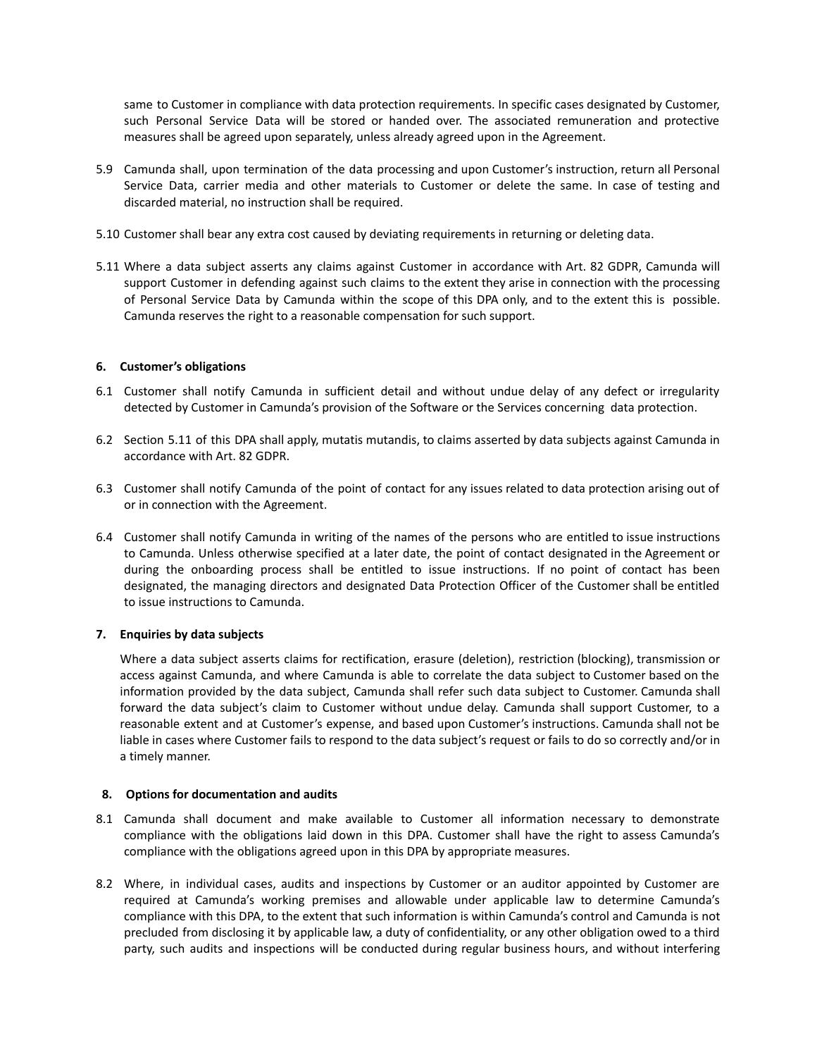same to Customer in compliance with data protection requirements. In specific cases designated by Customer, such Personal Service Data will be stored or handed over. The associated remuneration and protective measures shall be agreed upon separately, unless already agreed upon in the Agreement.

- 5.9 Camunda shall, upon termination of the data processing and upon Customer's instruction, return all Personal Service Data, carrier media and other materials to Customer or delete the same. In case of testing and discarded material, no instruction shall be required.
- 5.10 Customer shall bear any extra cost caused by deviating requirements in returning or deleting data.
- 5.11 Where a data subject asserts any claims against Customer in accordance with Art. 82 GDPR, Camunda will support Customer in defending against such claims to the extent they arise in connection with the processing of Personal Service Data by Camunda within the scope of this DPA only, and to the extent this is possible. Camunda reserves the right to a reasonable compensation for such support.

#### **6. Customer's obligations**

- 6.1 Customer shall notify Camunda in sufficient detail and without undue delay of any defect or irregularity detected by Customer in Camunda's provision of the Software or the Services concerning data protection.
- 6.2 Section 5.11 of this DPA shall apply, mutatis mutandis, to claims asserted by data subjects against Camunda in accordance with Art. 82 GDPR.
- 6.3 Customer shall notify Camunda of the point of contact for any issues related to data protection arising out of or in connection with the Agreement.
- 6.4 Customer shall notify Camunda in writing of the names of the persons who are entitled to issue instructions to Camunda. Unless otherwise specified at a later date, the point of contact designated in the Agreement or during the onboarding process shall be entitled to issue instructions. If no point of contact has been designated, the managing directors and designated Data Protection Officer of the Customer shall be entitled to issue instructions to Camunda.

#### **7. Enquiries by data subjects**

Where a data subject asserts claims for rectification, erasure (deletion), restriction (blocking), transmission or access against Camunda, and where Camunda is able to correlate the data subject to Customer based on the information provided by the data subject, Camunda shall refer such data subject to Customer. Camunda shall forward the data subject's claim to Customer without undue delay. Camunda shall support Customer, to a reasonable extent and at Customer's expense, and based upon Customer's instructions. Camunda shall not be liable in cases where Customer fails to respond to the data subject's request or fails to do so correctly and/or in a timely manner.

#### **8. Options for documentation and audits**

- 8.1 Camunda shall document and make available to Customer all information necessary to demonstrate compliance with the obligations laid down in this DPA. Customer shall have the right to assess Camunda's compliance with the obligations agreed upon in this DPA by appropriate measures.
- 8.2 Where, in individual cases, audits and inspections by Customer or an auditor appointed by Customer are required at Camunda's working premises and allowable under applicable law to determine Camunda's compliance with this DPA, to the extent that such information is within Camunda's control and Camunda is not precluded from disclosing it by applicable law, a duty of confidentiality, or any other obligation owed to a third party, such audits and inspections will be conducted during regular business hours, and without interfering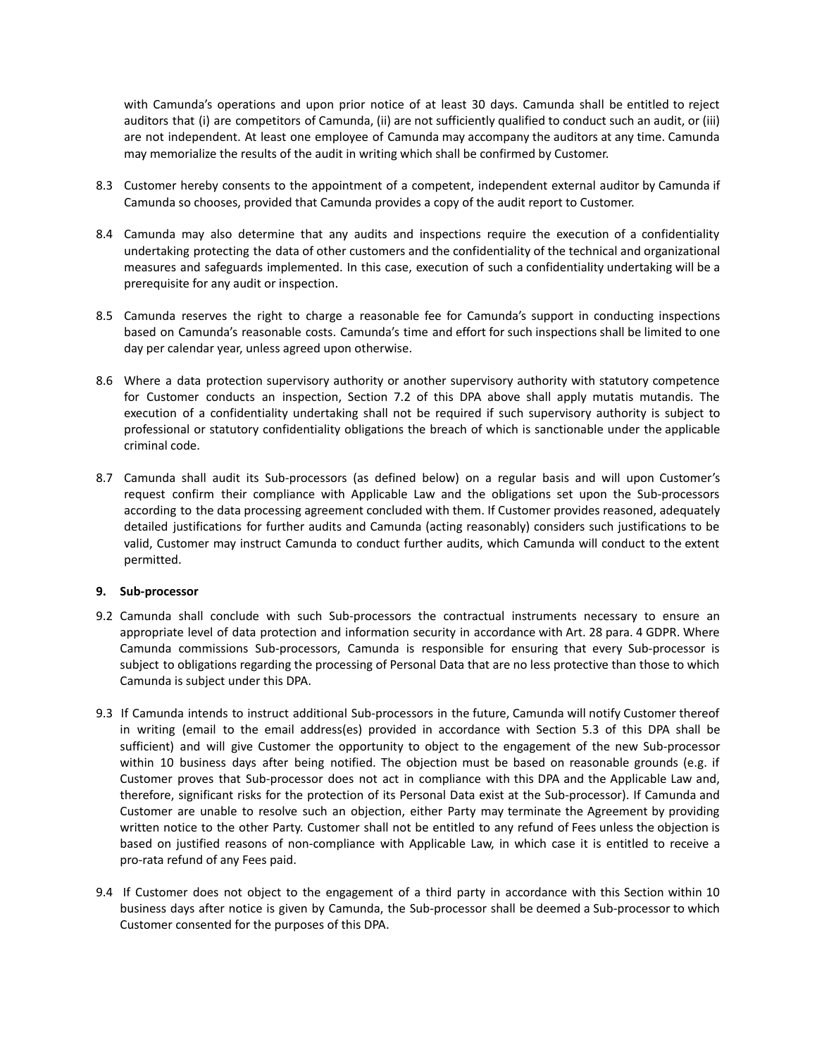with Camunda's operations and upon prior notice of at least 30 days. Camunda shall be entitled to reject auditors that (i) are competitors of Camunda, (ii) are not sufficiently qualified to conduct such an audit, or (iii) are not independent. At least one employee of Camunda may accompany the auditors at any time. Camunda may memorialize the results of the audit in writing which shall be confirmed by Customer.

- 8.3 Customer hereby consents to the appointment of a competent, independent external auditor by Camunda if Camunda so chooses, provided that Camunda provides a copy of the audit report to Customer.
- 8.4 Camunda may also determine that any audits and inspections require the execution of a confidentiality undertaking protecting the data of other customers and the confidentiality of the technical and organizational measures and safeguards implemented. In this case, execution of such a confidentiality undertaking will be a prerequisite for any audit or inspection.
- 8.5 Camunda reserves the right to charge a reasonable fee for Camunda's support in conducting inspections based on Camunda's reasonable costs. Camunda's time and effort for such inspections shall be limited to one day per calendar year, unless agreed upon otherwise.
- 8.6 Where a data protection supervisory authority or another supervisory authority with statutory competence for Customer conducts an inspection, Section 7.2 of this DPA above shall apply mutatis mutandis. The execution of a confidentiality undertaking shall not be required if such supervisory authority is subject to professional or statutory confidentiality obligations the breach of which is sanctionable under the applicable criminal code.
- 8.7 Camunda shall audit its Sub-processors (as defined below) on a regular basis and will upon Customer's request confirm their compliance with Applicable Law and the obligations set upon the Sub-processors according to the data processing agreement concluded with them. If Customer provides reasoned, adequately detailed justifications for further audits and Camunda (acting reasonably) considers such justifications to be valid, Customer may instruct Camunda to conduct further audits, which Camunda will conduct to the extent permitted.

## **9. Sub-processor**

- 9.2 Camunda shall conclude with such Sub-processors the contractual instruments necessary to ensure an appropriate level of data protection and information security in accordance with Art. 28 para. 4 GDPR. Where Camunda commissions Sub-processors, Camunda is responsible for ensuring that every Sub-processor is subject to obligations regarding the processing of Personal Data that are no less protective than those to which Camunda is subject under this DPA.
- 9.3 If Camunda intends to instruct additional Sub-processors in the future, Camunda will notify Customer thereof in writing (email to the email address(es) provided in accordance with Section 5.3 of this DPA shall be sufficient) and will give Customer the opportunity to object to the engagement of the new Sub-processor within 10 business days after being notified. The objection must be based on reasonable grounds (e.g. if Customer proves that Sub-processor does not act in compliance with this DPA and the Applicable Law and, therefore, significant risks for the protection of its Personal Data exist at the Sub-processor). If Camunda and Customer are unable to resolve such an objection, either Party may terminate the Agreement by providing written notice to the other Party. Customer shall not be entitled to any refund of Fees unless the objection is based on justified reasons of non-compliance with Applicable Law, in which case it is entitled to receive a pro-rata refund of any Fees paid.
- 9.4 If Customer does not object to the engagement of a third party in accordance with this Section within 10 business days after notice is given by Camunda, the Sub-processor shall be deemed a Sub-processor to which Customer consented for the purposes of this DPA.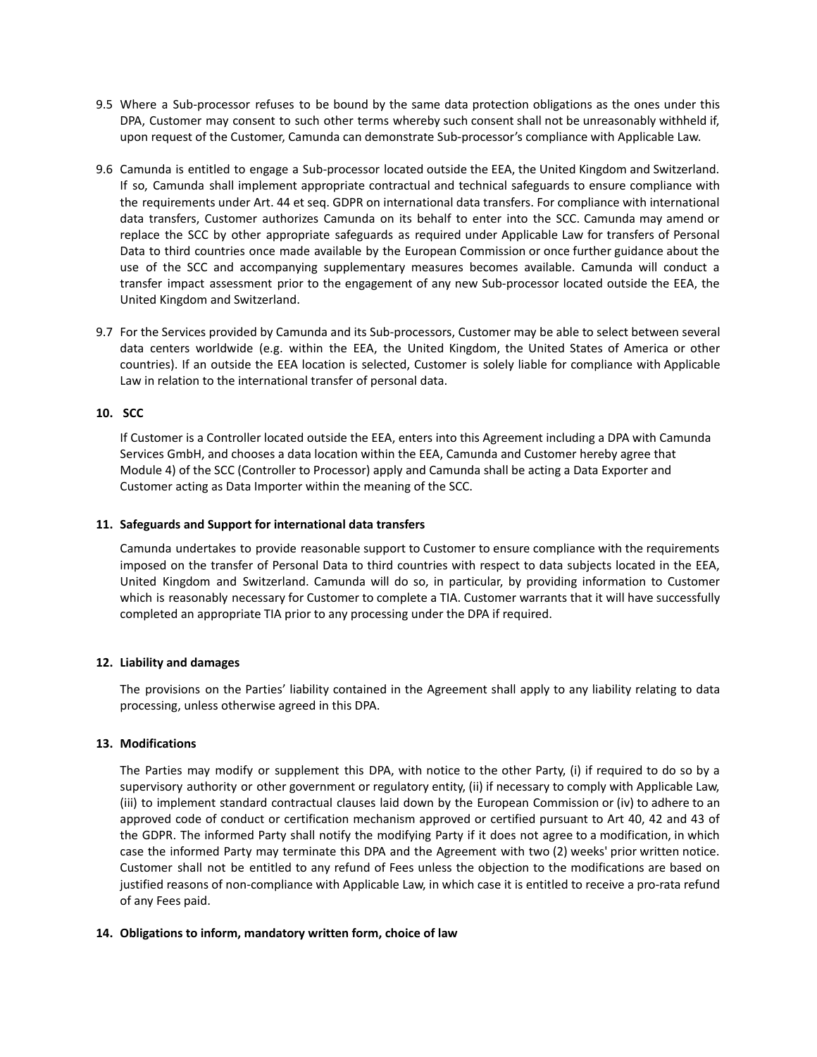- 9.5 Where a Sub-processor refuses to be bound by the same data protection obligations as the ones under this DPA, Customer may consent to such other terms whereby such consent shall not be unreasonably withheld if, upon request of the Customer, Camunda can demonstrate Sub-processor's compliance with Applicable Law.
- 9.6 Camunda is entitled to engage a Sub-processor located outside the EEA, the United Kingdom and Switzerland. If so, Camunda shall implement appropriate contractual and technical safeguards to ensure compliance with the requirements under Art. 44 et seq. GDPR on international data transfers. For compliance with international data transfers, Customer authorizes Camunda on its behalf to enter into the SCC. Camunda may amend or replace the SCC by other appropriate safeguards as required under Applicable Law for transfers of Personal Data to third countries once made available by the European Commission or once further guidance about the use of the SCC and accompanying supplementary measures becomes available. Camunda will conduct a transfer impact assessment prior to the engagement of any new Sub-processor located outside the EEA, the United Kingdom and Switzerland.
- 9.7 For the Services provided by Camunda and its Sub-processors, Customer may be able to select between several data centers worldwide (e.g. within the EEA, the United Kingdom, the United States of America or other countries). If an outside the EEA location is selected, Customer is solely liable for compliance with Applicable Law in relation to the international transfer of personal data.

#### **10. SCC**

If Customer is a Controller located outside the EEA, enters into this Agreement including a DPA with Camunda Services GmbH, and chooses a data location within the EEA, Camunda and Customer hereby agree that Module 4) of the SCC (Controller to Processor) apply and Camunda shall be acting a Data Exporter and Customer acting as Data Importer within the meaning of the SCC.

#### **11. Safeguards and Support for international data transfers**

Camunda undertakes to provide reasonable support to Customer to ensure compliance with the requirements imposed on the transfer of Personal Data to third countries with respect to data subjects located in the EEA, United Kingdom and Switzerland. Camunda will do so, in particular, by providing information to Customer which is reasonably necessary for Customer to complete a TIA. Customer warrants that it will have successfully completed an appropriate TIA prior to any processing under the DPA if required.

#### **12. Liability and damages**

The provisions on the Parties' liability contained in the Agreement shall apply to any liability relating to data processing, unless otherwise agreed in this DPA.

#### **13. Modifications**

The Parties may modify or supplement this DPA, with notice to the other Party, (i) if required to do so by a supervisory authority or other government or regulatory entity, (ii) if necessary to comply with Applicable Law, (iii) to implement standard contractual clauses laid down by the European Commission or (iv) to adhere to an approved code of conduct or certification mechanism approved or certified pursuant to Art 40, 42 and 43 of the GDPR. The informed Party shall notify the modifying Party if it does not agree to a modification, in which case the informed Party may terminate this DPA and the Agreement with two (2) weeks' prior written notice. Customer shall not be entitled to any refund of Fees unless the objection to the modifications are based on justified reasons of non-compliance with Applicable Law, in which case it is entitled to receive a pro-rata refund of any Fees paid.

#### **14. Obligations to inform, mandatory written form, choice of law**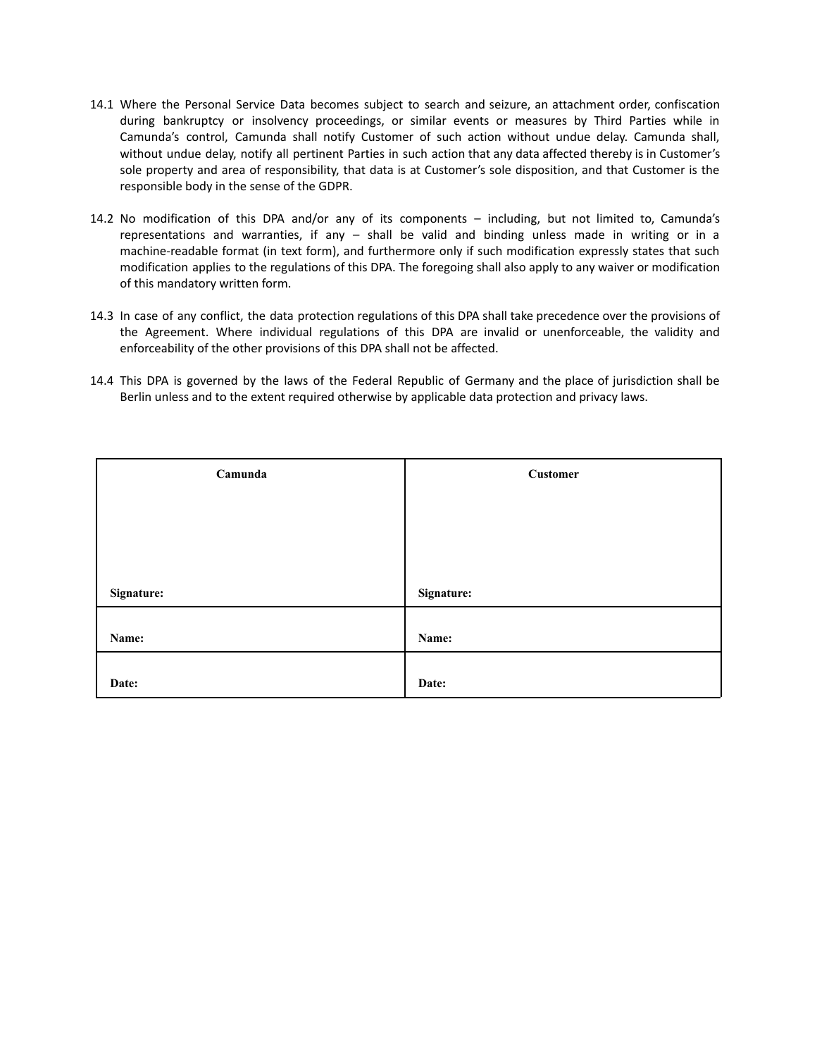- 14.1 Where the Personal Service Data becomes subject to search and seizure, an attachment order, confiscation during bankruptcy or insolvency proceedings, or similar events or measures by Third Parties while in Camunda's control, Camunda shall notify Customer of such action without undue delay. Camunda shall, without undue delay, notify all pertinent Parties in such action that any data affected thereby is in Customer's sole property and area of responsibility, that data is at Customer's sole disposition, and that Customer is the responsible body in the sense of the GDPR.
- 14.2 No modification of this DPA and/or any of its components including, but not limited to, Camunda's representations and warranties, if any – shall be valid and binding unless made in writing or in a machine-readable format (in text form), and furthermore only if such modification expressly states that such modification applies to the regulations of this DPA. The foregoing shall also apply to any waiver or modification of this mandatory written form.
- 14.3 In case of any conflict, the data protection regulations of this DPA shall take precedence over the provisions of the Agreement. Where individual regulations of this DPA are invalid or unenforceable, the validity and enforceability of the other provisions of this DPA shall not be affected.
- 14.4 This DPA is governed by the laws of the Federal Republic of Germany and the place of jurisdiction shall be Berlin unless and to the extent required otherwise by applicable data protection and privacy laws.

| Camunda    | <b>Customer</b> |
|------------|-----------------|
|            |                 |
|            |                 |
|            |                 |
| Signature: | Signature:      |
|            |                 |
| Name:      | Name:           |
|            |                 |
| Date:      | Date:           |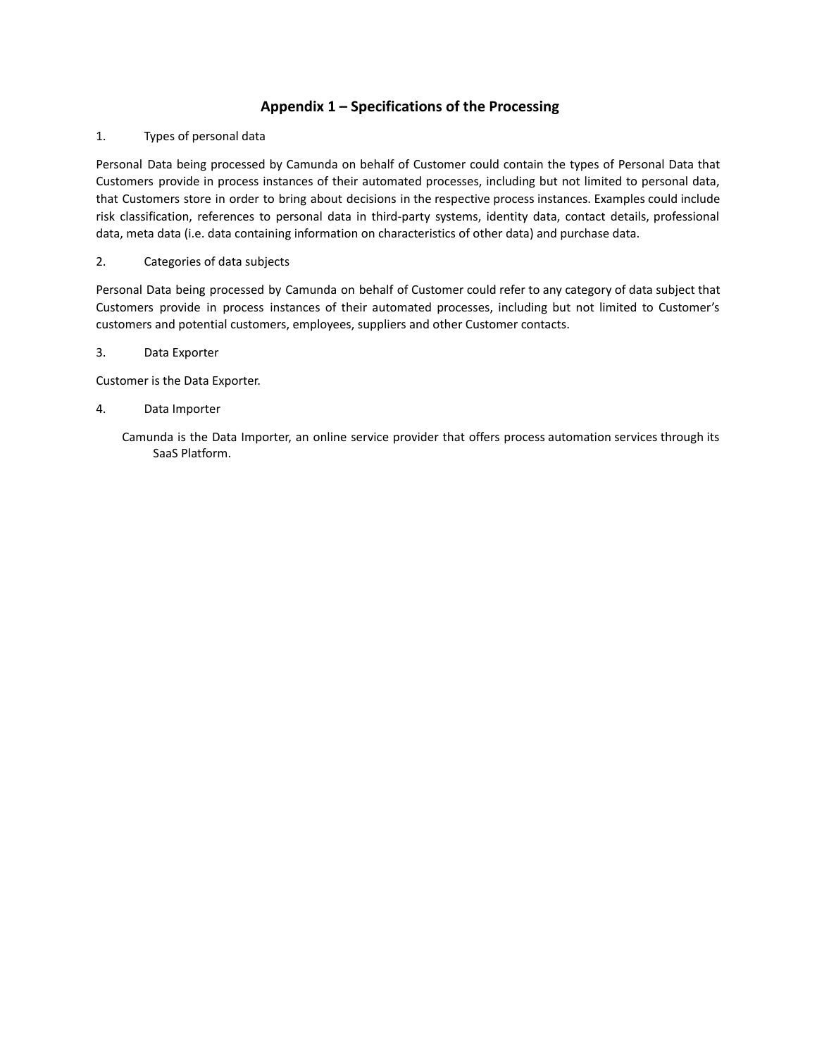# **Appendix 1 – Specifications of the Processing**

## 1. Types of personal data

Personal Data being processed by Camunda on behalf of Customer could contain the types of Personal Data that Customers provide in process instances of their automated processes, including but not limited to personal data, that Customers store in order to bring about decisions in the respective process instances. Examples could include risk classification, references to personal data in third-party systems, identity data, contact details, professional data, meta data (i.e. data containing information on characteristics of other data) and purchase data.

## 2. Categories of data subjects

Personal Data being processed by Camunda on behalf of Customer could refer to any category of data subject that Customers provide in process instances of their automated processes, including but not limited to Customer's customers and potential customers, employees, suppliers and other Customer contacts.

## 3. Data Exporter

Customer is the Data Exporter.

## 4. Data Importer

Camunda is the Data Importer, an online service provider that offers process automation services through its SaaS Platform.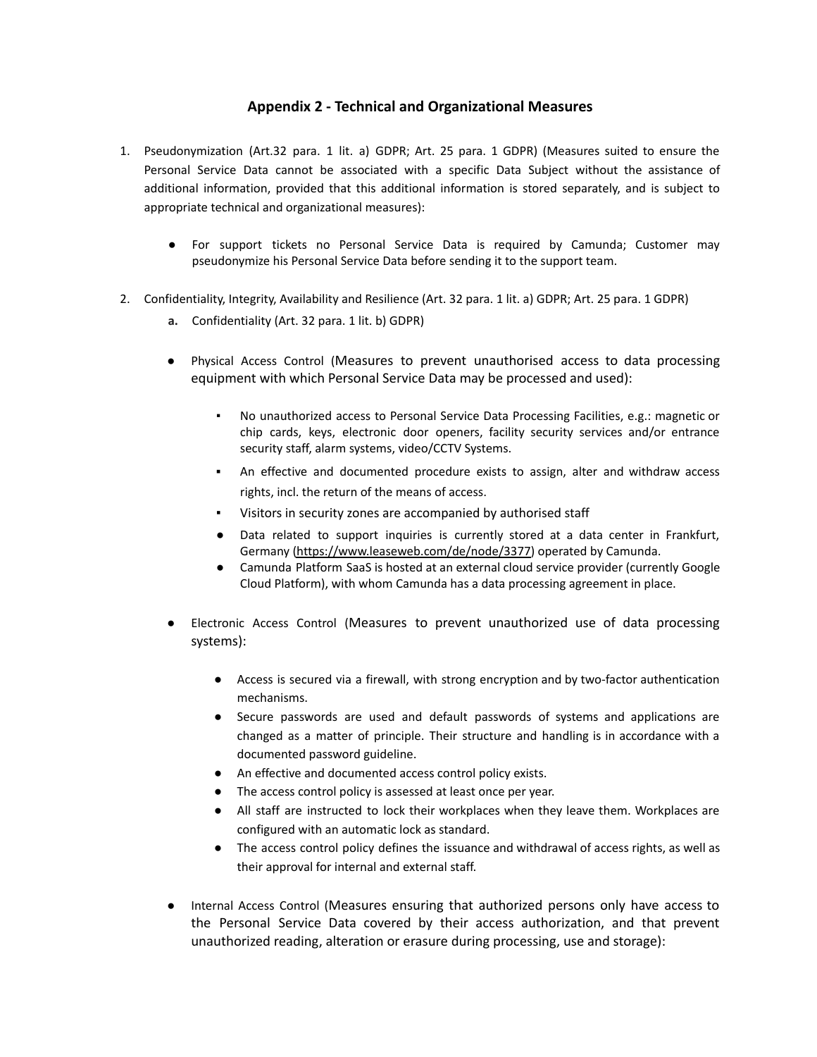## **Appendix 2 - Technical and Organizational Measures**

- 1. Pseudonymization (Art.32 para. 1 lit. a) GDPR; Art. 25 para. 1 GDPR) (Measures suited to ensure the Personal Service Data cannot be associated with a specific Data Subject without the assistance of additional information, provided that this additional information is stored separately, and is subject to appropriate technical and organizational measures):
	- For support tickets no Personal Service Data is required by Camunda; Customer may pseudonymize his Personal Service Data before sending it to the support team.
- 2. Confidentiality, Integrity, Availability and Resilience (Art. 32 para. 1 lit. a) GDPR; Art. 25 para. 1 GDPR)
	- **a.** Confidentiality (Art. 32 para. 1 lit. b) GDPR)
	- Physical Access Control (Measures to prevent unauthorised access to data processing equipment with which Personal Service Data may be processed and used):
		- No unauthorized access to Personal Service Data Processing Facilities, e.g.: magnetic or chip cards, keys, electronic door openers, facility security services and/or entrance security staff, alarm systems, video/CCTV Systems.
		- An effective and documented procedure exists to assign, alter and withdraw access rights, incl. the return of the means of access.
		- Visitors in security zones are accompanied by authorised staff
		- Data related to support inquiries is currently stored at a data center in Frankfurt, Germany [\(https://www.leaseweb.com/de/node/3377\)](https://www.leaseweb.com/de/node/3377) operated by Camunda.
		- Camunda Platform SaaS is hosted at an external cloud service provider (currently Google Cloud Platform), with whom Camunda has a data processing agreement in place.
	- Electronic Access Control (Measures to prevent unauthorized use of data processing systems):
		- Access is secured via a firewall, with strong encryption and by two-factor authentication mechanisms.
		- Secure passwords are used and default passwords of systems and applications are changed as a matter of principle. Their structure and handling is in accordance with a documented password guideline.
		- An effective and documented access control policy exists.
		- The access control policy is assessed at least once per year.
		- All staff are instructed to lock their workplaces when they leave them. Workplaces are configured with an automatic lock as standard.
		- The access control policy defines the issuance and withdrawal of access rights, as well as their approval for internal and external staff.
	- Internal Access Control (Measures ensuring that authorized persons only have access to the Personal Service Data covered by their access authorization, and that prevent unauthorized reading, alteration or erasure during processing, use and storage):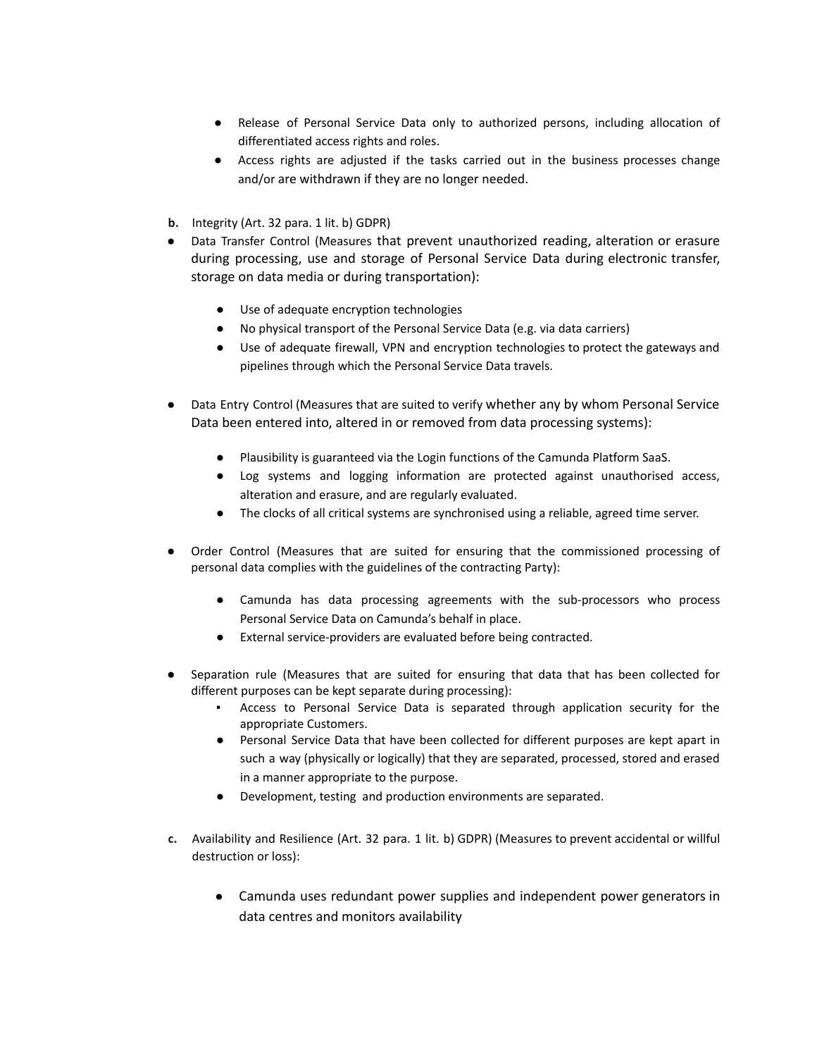- Release of Personal Service Data only to authorized persons, including allocation of differentiated access rights and roles.
- Access rights are adjusted if the tasks carried out in the business processes change and/or are withdrawn if they are no longer needed.
- **b.** Integrity (Art. 32 para. 1 lit. b) GDPR)
- Data Transfer Control (Measures that prevent unauthorized reading, alteration or erasure during processing, use and storage of Personal Service Data during electronic transfer, storage on data media or during transportation):
	- Use of adequate encryption technologies
	- No physical transport of the Personal Service Data (e.g. via data carriers)
	- Use of adequate firewall, VPN and encryption technologies to protect the gateways and pipelines through which the Personal Service Data travels.
- Data Entry Control (Measures that are suited to verify whether any by whom Personal Service Data been entered into, altered in or removed from data processing systems):
	- Plausibility is guaranteed via the Login functions of the Camunda Platform SaaS.
	- Log systems and logging information are protected against unauthorised access, alteration and erasure, and are regularly evaluated.
	- The clocks of all critical systems are synchronised using a reliable, agreed time server.
- Order Control (Measures that are suited for ensuring that the commissioned processing of personal data complies with the guidelines of the contracting Party):
	- Camunda has data processing agreements with the sub-processors who process Personal Service Data on Camunda's behalf in place.
	- External service-providers are evaluated before being contracted.
- Separation rule (Measures that are suited for ensuring that data that has been collected for different purposes can be kept separate during processing):
	- Access to Personal Service Data is separated through application security for the appropriate Customers.
	- Personal Service Data that have been collected for different purposes are kept apart in such a way (physically or logically) that they are separated, processed, stored and erased in a manner appropriate to the purpose.
	- Development, testing and production environments are separated.
- **c.** Availability and Resilience (Art. 32 para. 1 lit. b) GDPR) (Measures to prevent accidental or willful destruction or loss):
	- Camunda uses redundant power supplies and independent power generators in data centres and monitors availability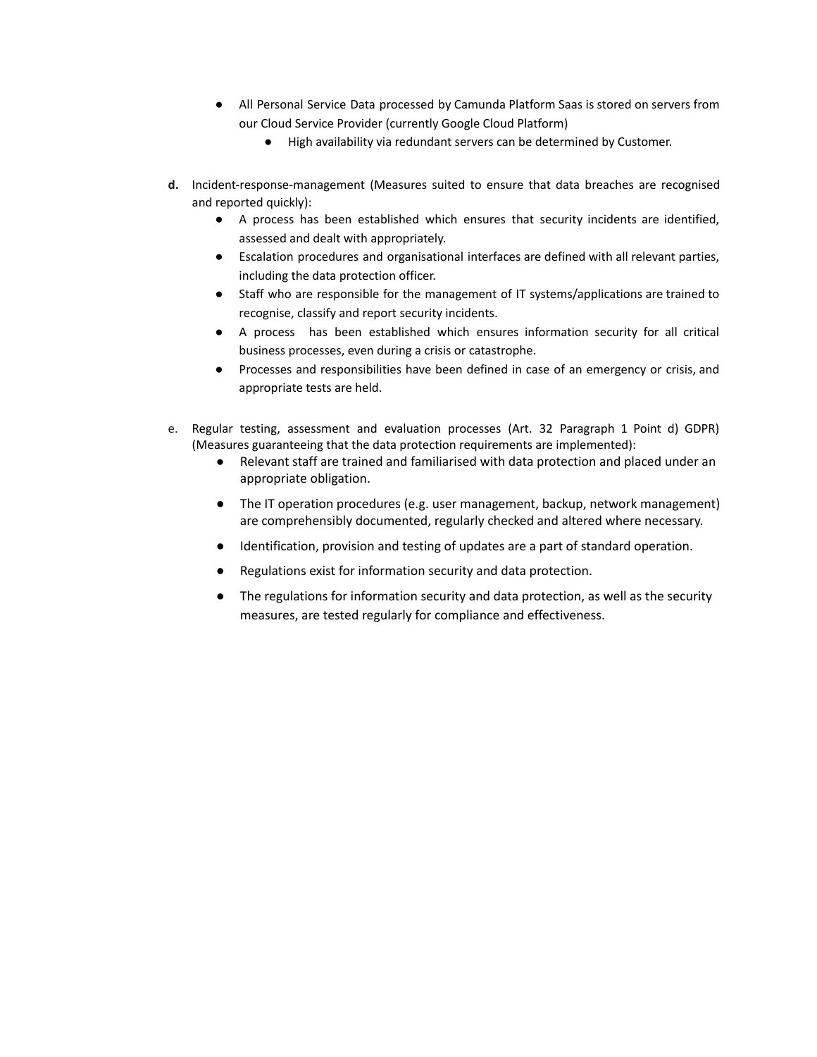- All Personal Service Data processed by Camunda Platform Saas is stored on servers from our Cloud Service Provider (currently Google Cloud Platform)
	- High availability via redundant servers can be determined by Customer.
- **d.** Incident-response-management (Measures suited to ensure that data breaches are recognised and reported quickly):
	- A process has been established which ensures that security incidents are identified, assessed and dealt with appropriately.
	- Escalation procedures and organisational interfaces are defined with all relevant parties, including the data protection officer.
	- Staff who are responsible for the management of IT systems/applications are trained to recognise, classify and report security incidents.
	- A process has been established which ensures information security for all critical business processes, even during a crisis or catastrophe.
	- Processes and responsibilities have been defined in case of an emergency or crisis, and appropriate tests are held.
- e. Regular testing, assessment and evaluation processes (Art. 32 Paragraph 1 Point d) GDPR) (Measures guaranteeing that the data protection requirements are implemented):
	- Relevant staff are trained and familiarised with data protection and placed under an appropriate obligation.
	- The IT operation procedures (e.g. user management, backup, network management) are comprehensibly documented, regularly checked and altered where necessary.
	- Identification, provision and testing of updates are a part of standard operation.
	- Regulations exist for information security and data protection.
	- The regulations for information security and data protection, as well as the security measures, are tested regularly for compliance and effectiveness.